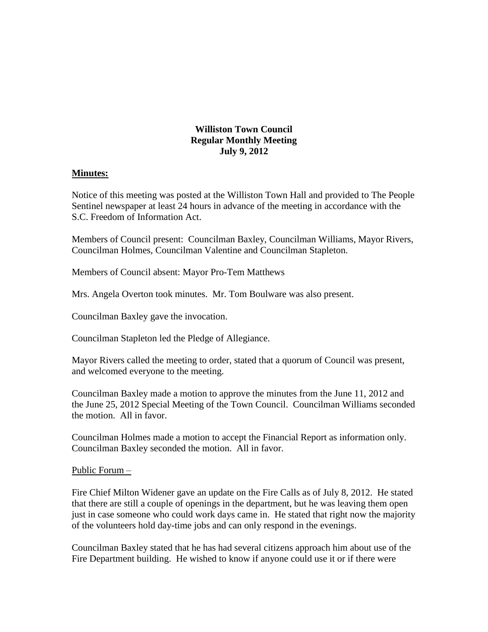## **Williston Town Council Regular Monthly Meeting July 9, 2012**

#### **Minutes:**

Notice of this meeting was posted at the Williston Town Hall and provided to The People Sentinel newspaper at least 24 hours in advance of the meeting in accordance with the S.C. Freedom of Information Act.

Members of Council present: Councilman Baxley, Councilman Williams, Mayor Rivers, Councilman Holmes, Councilman Valentine and Councilman Stapleton.

Members of Council absent: Mayor Pro-Tem Matthews

Mrs. Angela Overton took minutes. Mr. Tom Boulware was also present.

Councilman Baxley gave the invocation.

Councilman Stapleton led the Pledge of Allegiance.

Mayor Rivers called the meeting to order, stated that a quorum of Council was present, and welcomed everyone to the meeting.

Councilman Baxley made a motion to approve the minutes from the June 11, 2012 and the June 25, 2012 Special Meeting of the Town Council. Councilman Williams seconded the motion. All in favor.

Councilman Holmes made a motion to accept the Financial Report as information only. Councilman Baxley seconded the motion. All in favor.

Public Forum –

Fire Chief Milton Widener gave an update on the Fire Calls as of July 8, 2012. He stated that there are still a couple of openings in the department, but he was leaving them open just in case someone who could work days came in. He stated that right now the majority of the volunteers hold day-time jobs and can only respond in the evenings.

Councilman Baxley stated that he has had several citizens approach him about use of the Fire Department building. He wished to know if anyone could use it or if there were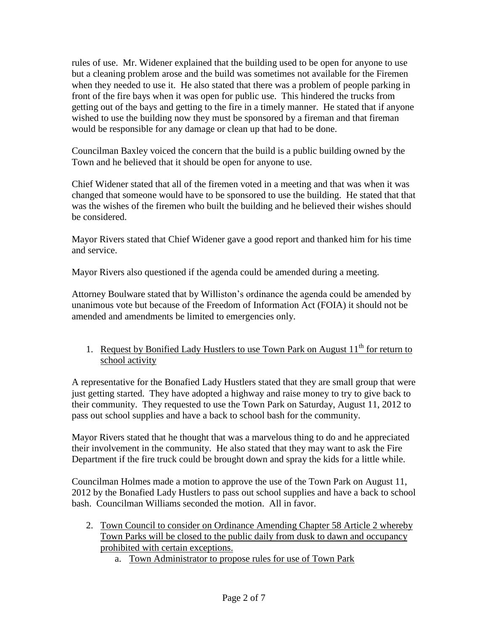rules of use. Mr. Widener explained that the building used to be open for anyone to use but a cleaning problem arose and the build was sometimes not available for the Firemen when they needed to use it. He also stated that there was a problem of people parking in front of the fire bays when it was open for public use. This hindered the trucks from getting out of the bays and getting to the fire in a timely manner. He stated that if anyone wished to use the building now they must be sponsored by a fireman and that fireman would be responsible for any damage or clean up that had to be done.

Councilman Baxley voiced the concern that the build is a public building owned by the Town and he believed that it should be open for anyone to use.

Chief Widener stated that all of the firemen voted in a meeting and that was when it was changed that someone would have to be sponsored to use the building. He stated that that was the wishes of the firemen who built the building and he believed their wishes should be considered.

Mayor Rivers stated that Chief Widener gave a good report and thanked him for his time and service.

Mayor Rivers also questioned if the agenda could be amended during a meeting.

Attorney Boulware stated that by Williston's ordinance the agenda could be amended by unanimous vote but because of the Freedom of Information Act (FOIA) it should not be amended and amendments be limited to emergencies only.

1. Request by Bonified Lady Hustlers to use Town Park on August  $11<sup>th</sup>$  for return to school activity

A representative for the Bonafied Lady Hustlers stated that they are small group that were just getting started. They have adopted a highway and raise money to try to give back to their community. They requested to use the Town Park on Saturday, August 11, 2012 to pass out school supplies and have a back to school bash for the community.

Mayor Rivers stated that he thought that was a marvelous thing to do and he appreciated their involvement in the community. He also stated that they may want to ask the Fire Department if the fire truck could be brought down and spray the kids for a little while.

Councilman Holmes made a motion to approve the use of the Town Park on August 11, 2012 by the Bonafied Lady Hustlers to pass out school supplies and have a back to school bash. Councilman Williams seconded the motion. All in favor.

- 2. Town Council to consider on Ordinance Amending Chapter 58 Article 2 whereby Town Parks will be closed to the public daily from dusk to dawn and occupancy prohibited with certain exceptions.
	- a. Town Administrator to propose rules for use of Town Park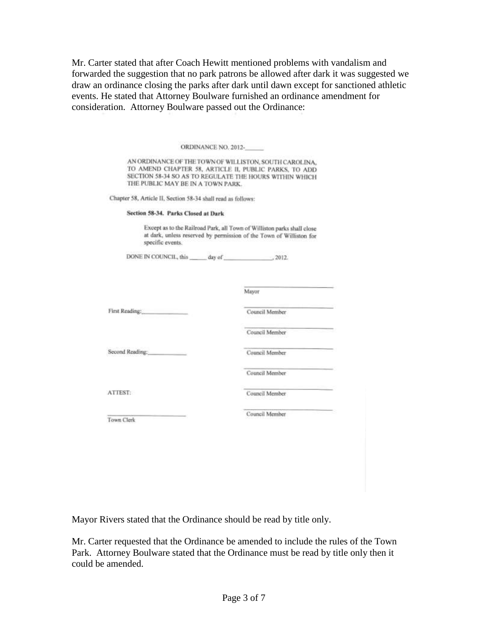Mr. Carter stated that after Coach Hewitt mentioned problems with vandalism and forwarded the suggestion that no park patrons be allowed after dark it was suggested we draw an ordinance closing the parks after dark until dawn except for sanctioned athletic events. He stated that Attorney Boulware furnished an ordinance amendment for consideration. Attorney Boulware passed out the Ordinance:

|                                                              | ORDINANCE NO. 2012-                                                                                                                                                       |
|--------------------------------------------------------------|---------------------------------------------------------------------------------------------------------------------------------------------------------------------------|
| THE PUBLIC MAY BE IN A TOWN PARK.                            | AN ORDINANCE OF THE TOWN OF WILLISTON, SOUTH CAROLINA,<br>TO AMEND CHAPTER 58, ARTICLE II, PUBLIC PARKS, TO ADD<br>SECTION 58-34 SO AS TO REGULATE THE HOURS WITHIN WHICH |
| Chapter 58, Article II, Section 58-34 shall read as follows: |                                                                                                                                                                           |
| Section 58-34. Parks Closed at Dark                          |                                                                                                                                                                           |
| specific events.                                             | Except as to the Railroad Park, all Town of Williston parks shall close<br>at dark, unless reserved by permission of the Town of Williston for                            |
| DONE IN COUNCIL, this day of  2012.                          |                                                                                                                                                                           |
|                                                              | Mayor                                                                                                                                                                     |
|                                                              |                                                                                                                                                                           |
| First Reading:                                               | Council Member                                                                                                                                                            |
|                                                              |                                                                                                                                                                           |
|                                                              | Council Member                                                                                                                                                            |
|                                                              | Council Member                                                                                                                                                            |
|                                                              | Council Member                                                                                                                                                            |
|                                                              | Council Member                                                                                                                                                            |
| Second Reading:<br>ATTEST:<br>Town Clerk                     | Council Member                                                                                                                                                            |

Mayor Rivers stated that the Ordinance should be read by title only.

Mr. Carter requested that the Ordinance be amended to include the rules of the Town Park. Attorney Boulware stated that the Ordinance must be read by title only then it could be amended.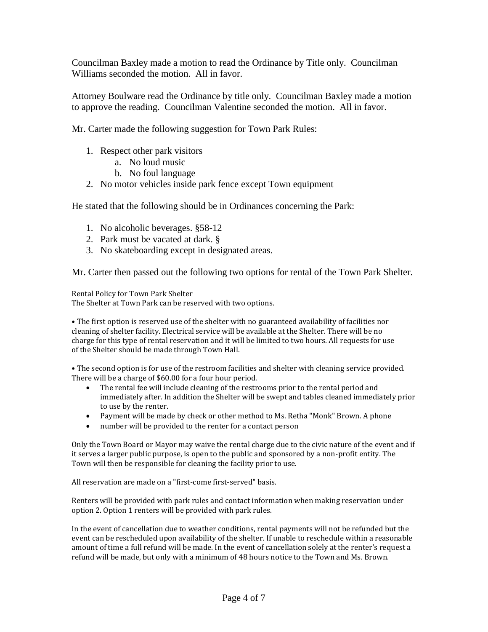Councilman Baxley made a motion to read the Ordinance by Title only. Councilman Williams seconded the motion. All in favor.

Attorney Boulware read the Ordinance by title only. Councilman Baxley made a motion to approve the reading. Councilman Valentine seconded the motion. All in favor.

Mr. Carter made the following suggestion for Town Park Rules:

- 1. Respect other park visitors
	- a. No loud music
	- b. No foul language
- 2. No motor vehicles inside park fence except Town equipment

He stated that the following should be in Ordinances concerning the Park:

- 1. No alcoholic beverages. §58-12
- 2. Park must be vacated at dark. §
- 3. No skateboarding except in designated areas.

Mr. Carter then passed out the following two options for rental of the Town Park Shelter.

Rental Policy for Town Park Shelter The Shelter at Town Park can be reserved with two options.

• The first option is reserved use of the shelter with no guaranteed availability of facilities nor cleaning of shelter facility. Electrical service will be available at the Shelter. There will be no charge for this type of rental reservation and it will be limited to two hours. All requests for use of the Shelter should be made through Town Hall.

• The second option is for use of the restroom facilities and shelter with cleaning service provided. There will be a charge of \$60.00 for a four hour period.

- The rental fee will include cleaning of the restrooms prior to the rental period and immediately after. In addition the Shelter will be swept and tables cleaned immediately prior to use by the renter.
- Payment will be made by check or other method to Ms. Retha "Monk" Brown. A phone
- number will be provided to the renter for a contact person

Only the Town Board or Mayor may waive the rental charge due to the civic nature of the event and if it serves a larger public purpose, is open to the public and sponsored by a non-profit entity. The Town will then be responsible for cleaning the facility prior to use.

All reservation are made on a "first-come first-served" basis.

Renters will be provided with park rules and contact information when making reservation under option 2. Option 1 renters will be provided with park rules.

In the event of cancellation due to weather conditions, rental payments will not be refunded but the event can be rescheduled upon availability of the shelter. If unable to reschedule within a reasonable amount of time a full refund will be made. In the event of cancellation solely at the renter's request a refund will be made, but only with a minimum of 48 hours notice to the Town and Ms. Brown.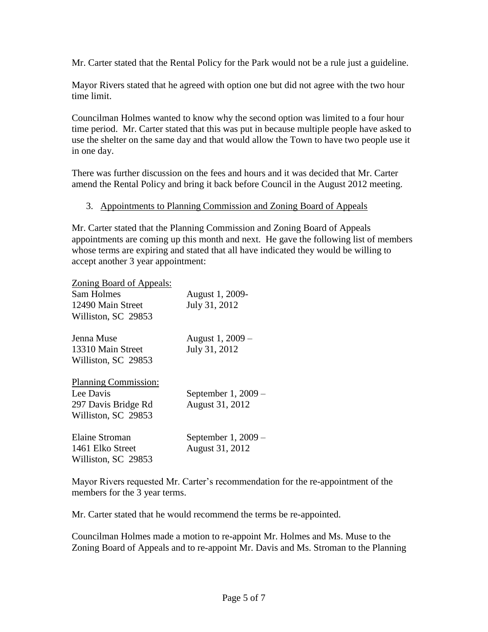Mr. Carter stated that the Rental Policy for the Park would not be a rule just a guideline.

Mayor Rivers stated that he agreed with option one but did not agree with the two hour time limit.

Councilman Holmes wanted to know why the second option was limited to a four hour time period. Mr. Carter stated that this was put in because multiple people have asked to use the shelter on the same day and that would allow the Town to have two people use it in one day.

There was further discussion on the fees and hours and it was decided that Mr. Carter amend the Rental Policy and bring it back before Council in the August 2012 meeting.

#### 3. Appointments to Planning Commission and Zoning Board of Appeals

Mr. Carter stated that the Planning Commission and Zoning Board of Appeals appointments are coming up this month and next. He gave the following list of members whose terms are expiring and stated that all have indicated they would be willing to accept another 3 year appointment:

Zoning Board of Appeals:

| <b>Sam Holmes</b><br>12490 Main Street<br>Williston, SC 29853                          | August 1, 2009-<br>July 31, 2012       |
|----------------------------------------------------------------------------------------|----------------------------------------|
| Jenna Muse<br>13310 Main Street<br>Williston, SC 29853                                 | August 1, 2009 –<br>July 31, 2012      |
| <b>Planning Commission:</b><br>Lee Davis<br>297 Davis Bridge Rd<br>Williston, SC 29853 | September $1,2009-$<br>August 31, 2012 |
| <b>Elaine Stroman</b><br>1461 Elko Street<br>Williston, SC 29853                       | September 1, 2009 –<br>August 31, 2012 |

Mayor Rivers requested Mr. Carter's recommendation for the re-appointment of the members for the 3 year terms.

Mr. Carter stated that he would recommend the terms be re-appointed.

Councilman Holmes made a motion to re-appoint Mr. Holmes and Ms. Muse to the Zoning Board of Appeals and to re-appoint Mr. Davis and Ms. Stroman to the Planning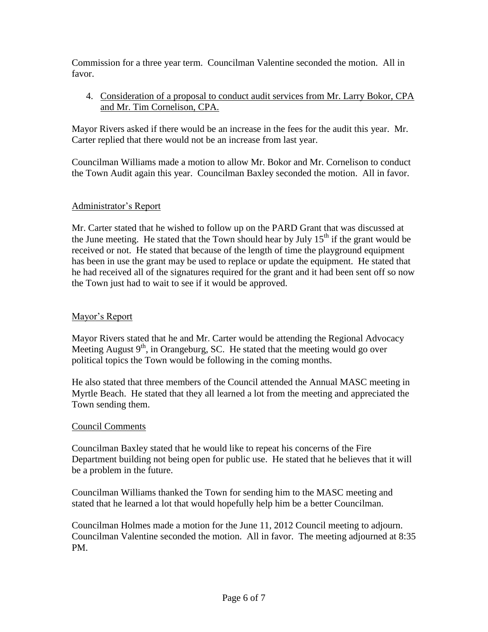Commission for a three year term. Councilman Valentine seconded the motion. All in favor.

4. Consideration of a proposal to conduct audit services from Mr. Larry Bokor, CPA and Mr. Tim Cornelison, CPA.

Mayor Rivers asked if there would be an increase in the fees for the audit this year. Mr. Carter replied that there would not be an increase from last year.

Councilman Williams made a motion to allow Mr. Bokor and Mr. Cornelison to conduct the Town Audit again this year. Councilman Baxley seconded the motion. All in favor.

# Administrator's Report

Mr. Carter stated that he wished to follow up on the PARD Grant that was discussed at the June meeting. He stated that the Town should hear by July  $15<sup>th</sup>$  if the grant would be received or not. He stated that because of the length of time the playground equipment has been in use the grant may be used to replace or update the equipment. He stated that he had received all of the signatures required for the grant and it had been sent off so now the Town just had to wait to see if it would be approved.

# Mayor's Report

Mayor Rivers stated that he and Mr. Carter would be attending the Regional Advocacy Meeting August  $9<sup>th</sup>$ , in Orangeburg, SC. He stated that the meeting would go over political topics the Town would be following in the coming months.

He also stated that three members of the Council attended the Annual MASC meeting in Myrtle Beach. He stated that they all learned a lot from the meeting and appreciated the Town sending them.

## Council Comments

Councilman Baxley stated that he would like to repeat his concerns of the Fire Department building not being open for public use. He stated that he believes that it will be a problem in the future.

Councilman Williams thanked the Town for sending him to the MASC meeting and stated that he learned a lot that would hopefully help him be a better Councilman.

Councilman Holmes made a motion for the June 11, 2012 Council meeting to adjourn. Councilman Valentine seconded the motion. All in favor. The meeting adjourned at 8:35 PM.